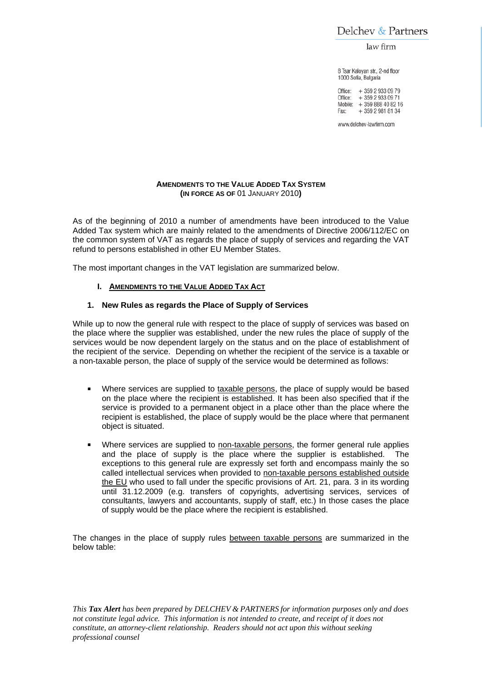Delchev & Partners

law firm

8 Tsar Kaloyan str., 2-nd floor 1000 Sofia, Bulgaria

Office: + 359 2 933 09 79 Office: +359 2 933 09 71 Mobile: + 359 888 40 82 16 + 359 2 981 81 34 Fax:

www.delchev-lawfirm.com

#### **AMENDMENTS TO THE VALUE ADDED TAX SYSTEM (IN FORCE AS OF** 01 JANUARY 2010**)**

As of the beginning of 2010 a number of amendments have been introduced to the Value Added Tax system which are mainly related to the amendments of Directive 2006/112/EC on the common system of VAT as regards the place of supply of services and regarding the VAT refund to persons established in other EU Member States.

The most important changes in the VAT legislation are summarized below.

## **I. AMENDMENTS TO THE VALUE ADDED TAX ACT**

#### **1. New Rules as regards the Place of Supply of Services**

While up to now the general rule with respect to the place of supply of services was based on the place where the supplier was established, under the new rules the place of supply of the services would be now dependent largely on the status and on the place of establishment of the recipient of the service. Depending on whether the recipient of the service is a taxable or a non-taxable person, the place of supply of the service would be determined as follows:

- Where services are supplied to taxable persons, the place of supply would be based on the place where the recipient is established. It has been also specified that if the service is provided to a permanent object in a place other than the place where the recipient is established, the place of supply would be the place where that permanent object is situated.
- Where services are supplied to non-taxable persons, the former general rule applies and the place of supply is the place where the supplier is established. The exceptions to this general rule are expressly set forth and encompass mainly the so called intellectual services when provided to non-taxable persons established outside the EU who used to fall under the specific provisions of Art. 21, para. 3 in its wording until 31.12.2009 (e.g. transfers of copyrights, advertising services, services of consultants, lawyers and accountants, supply of staff, etc.) In those cases the place of supply would be the place where the recipient is established.

The changes in the place of supply rules between taxable persons are summarized in the below table: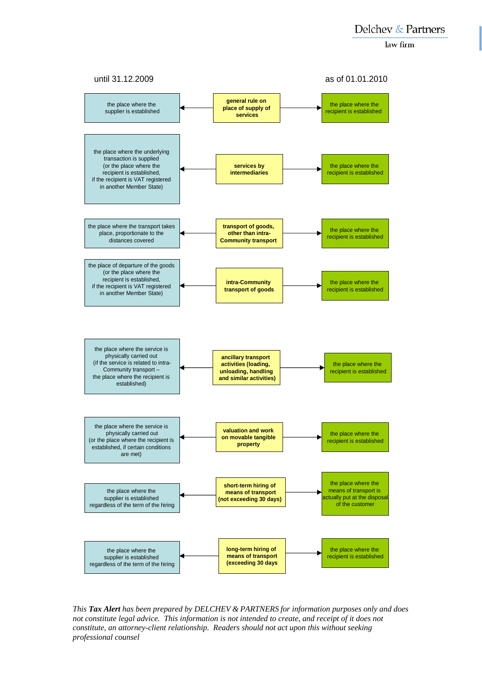law firm



*This Tax Alert has been prepared by DELCHEV & PARTNERS for information purposes only and does not constitute legal advice. This information is not intended to create, and receipt of it does not constitute, an attorney-client relationship. Readers should not act upon this without seeking professional counsel*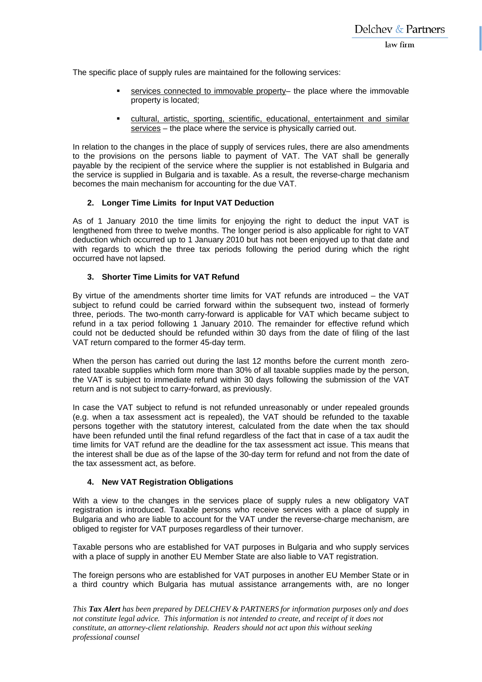The specific place of supply rules are maintained for the following services:

- services connected to immovable property– the place where the immovable property is located;
- cultural, artistic, sporting, scientific, educational, entertainment and similar services – the place where the service is physically carried out.

In relation to the changes in the place of supply of services rules, there are also amendments to the provisions on the persons liable to payment of VAT. The VAT shall be generally payable by the recipient of the service where the supplier is not established in Bulgaria and the service is supplied in Bulgaria and is taxable. As a result, the reverse-charge mechanism becomes the main mechanism for accounting for the due VAT.

# **2. Longer Time Limits for Input VAT Deduction**

As of 1 January 2010 the time limits for enjoying the right to deduct the input VAT is lengthened from three to twelve months. The longer period is also applicable for right to VAT deduction which occurred up to 1 January 2010 but has not been enjoyed up to that date and with regards to which the three tax periods following the period during which the right occurred have not lapsed.

## **3. Shorter Time Limits for VAT Refund**

By virtue of the amendments shorter time limits for VAT refunds are introduced – the VAT subject to refund could be carried forward within the subsequent two, instead of formerly three, periods. The two-month carry-forward is applicable for VAT which became subject to refund in a tax period following 1 January 2010. The remainder for effective refund which could not be deducted should be refunded within 30 days from the date of filing of the last VAT return compared to the former 45-day term.

When the person has carried out during the last 12 months before the current month zerorated taxable supplies which form more than 30% of all taxable supplies made by the person, the VAT is subject to immediate refund within 30 days following the submission of the VAT return and is not subject to carry-forward, as previously.

In case the VAT subject to refund is not refunded unreasonably or under repealed grounds (e.g. when a tax assessment act is repealed), the VAT should be refunded to the taxable persons together with the statutory interest, calculated from the date when the tax should have been refunded until the final refund regardless of the fact that in case of a tax audit the time limits for VAT refund are the deadline for the tax assessment act issue. This means that the interest shall be due as of the lapse of the 30-day term for refund and not from the date of the tax assessment act, as before.

# **4. New VAT Registration Obligations**

With a view to the changes in the services place of supply rules a new obligatory VAT registration is introduced. Taxable persons who receive services with a place of supply in Bulgaria and who are liable to account for the VAT under the reverse-charge mechanism, are obliged to register for VAT purposes regardless of their turnover.

Taxable persons who are established for VAT purposes in Bulgaria and who supply services with a place of supply in another EU Member State are also liable to VAT registration.

The foreign persons who are established for VAT purposes in another EU Member State or in a third country which Bulgaria has mutual assistance arrangements with, are no longer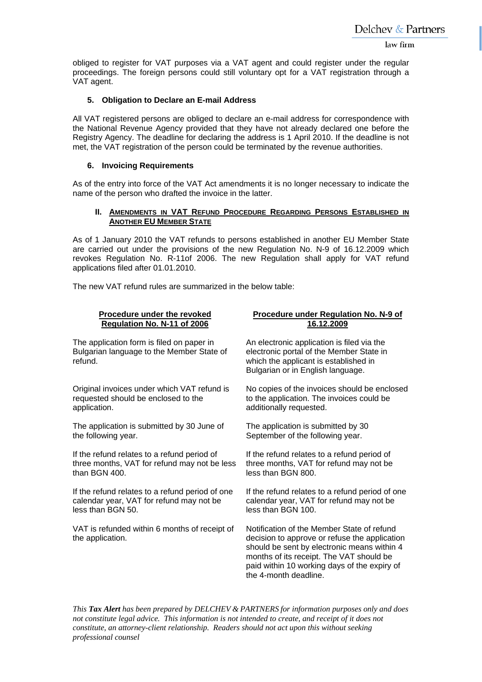obliged to register for VAT purposes via a VAT agent and could register under the regular proceedings. The foreign persons could still voluntary opt for a VAT registration through a VAT agent.

## **5. Obligation to Declare an E-mail Address**

All VAT registered persons are obliged to declare an e-mail address for correspondence with the National Revenue Agency provided that they have not already declared one before the Registry Agency. The deadline for declaring the address is 1 April 2010. If the deadline is not met, the VAT registration of the person could be terminated by the revenue authorities.

## **6. Invoicing Requirements**

As of the entry into force of the VAT Act amendments it is no longer necessary to indicate the name of the person who drafted the invoice in the latter.

#### **II. AMENDMENTS IN VAT REFUND PROCEDURE REGARDING PERSONS ESTABLISHED IN ANOTHER EU MEMBER STATE**

As of 1 January 2010 the VAT refunds to persons established in another EU Member State are carried out under the provisions of the new Regulation No. N-9 of 16.12.2009 which revokes Regulation No. R-11of 2006. The new Regulation shall apply for VAT refund applications filed after 01.01.2010.

The new VAT refund rules are summarized in the below table:

#### **Procedure under the revoked Regulation No. N-11 of 2006**

The application form is filed on paper in Bulgarian language to the Member State of refund.

Original invoices under which VAT refund is requested should be enclosed to the application.

The application is submitted by 30 June of the following year.

If the refund relates to a refund period of three months, VAT for refund may not be less than BGN 400.

If the refund relates to a refund period of one calendar year, VAT for refund may not be less than BGN 50.

VAT is refunded within 6 months of receipt of the application.

## **Procedure under Regulation No. N-9 of 16.12.2009**

An electronic application is filed via the electronic portal of the Member State in which the applicant is established in Bulgarian or in English language.

No copies of the invoices should be enclosed to the application. The invoices could be additionally requested.

The application is submitted by 30 September of the following year.

If the refund relates to a refund period of three months, VAT for refund may not be less than BGN 800.

If the refund relates to a refund period of one calendar year, VAT for refund may not be less than BGN 100.

Notification of the Member State of refund decision to approve or refuse the application should be sent by electronic means within 4 months of its receipt. The VAT should be paid within 10 working days of the expiry of the 4-month deadline.